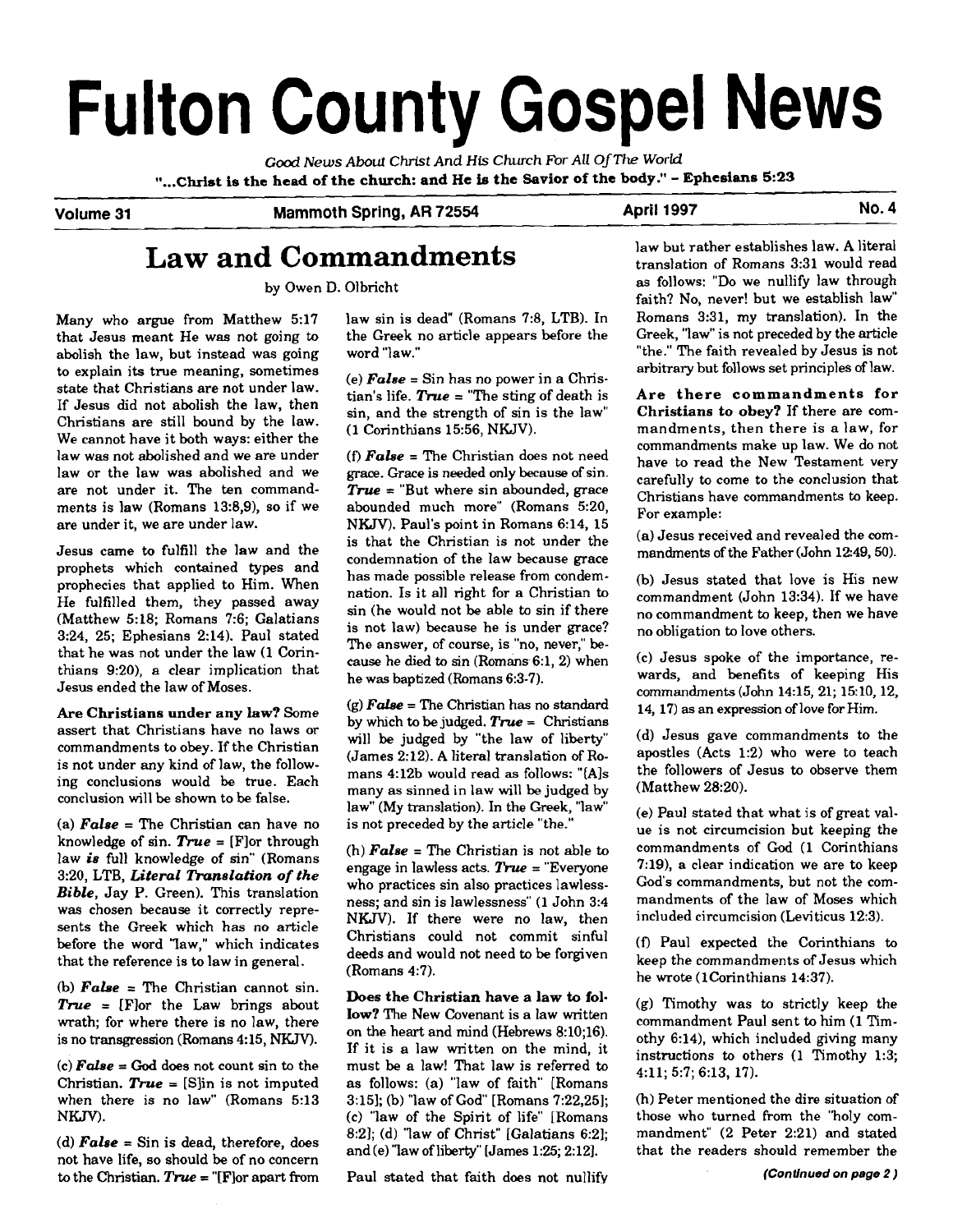# **Fulton County Gospel News**

*Good News* **About Christ And His** *Church For All* **Of** *The WorId*  **I1...CMst is the head of the church: and He is the Savior of the body."** - **Ephesians 5:23** 

**Volume 31** Mammoth Spring, AR 72554 **April 1997** April 1997

## **Law and Commandments**

by Owen D. Olbricht

Many who argue from Matthew 5:17 that Jesus meant He was not going to abolish the law, but instead was going to explain its true meaning, sometimes state that Christians are not under law. If Jesus did not abolish the law, then Christians are still bound by the law. We cannot have it both ways: either the law was not abolished and we are under law or the law was abolished and we are not under it. The ten commandments is law (Romans 13:8,9), so if we are under it, we are under law.

Jesus came to fulfill the law and the prophets which contained types and prophecies that applied to Him. When He fulfilled them, they passed away (Matthew 5:18; Romans 7:6; Galatians 3:24, 25; Ephesians 2:14). Paul stated that he was not under the law (1 Corinthians 9:20), a clear implication that Jesus ended the law of Moses.

Are Christians under any law? Some assert that Christians have no laws or commandments to obey. If the Christian is not under any kind of law, the following conclusions would be true. Each conclusion will be shown to be false.

(a) *False* = The Christian can have no knowledge of sin. *Tnre* = [Flor through law *is* full knowledge of sin" (Romans 3:20, LTB, *Literal Translation* of *the Bible,* Jay P. Green). This translation was chosen because it correctly represents the Greek which has no article before the word 'law," which indicates that the reference is to law in general.

(b) *False* = The Christian cannot sin.  $True = [F]or the Law brings about$ wrath; for where there is no law, there is no transgression (Romans 4: 15, NKJV).

(c) *False* = God does not count sin to the Christian.  $True = [Slin is not imputed]$ when there is no law" (Romans 5:13 NKJV).

(d) **False** = Sin is dead, therefore, does  $8:2$ ; (d) "law of Christ" [Galatians 6:2]; mandment" (2 Peter 2:21) and stated<br>not have life, so should be of no concern<br>to the Christian True = "[Flor apart from Paul stated th to the Christian. True = "[F]or apart from Paul stated that faith does not nullify

law sin is dead" (Romans 7:8, LTB). In the Greek no article appears before the word "law."

 $(e)$  **False** = Sin has no power in a Christian's life.  $True = "The string of death is$ sin, and the strength of sin is the law" (1 Corinthians 15:56, NKJV).

(f)  $False$  = The Christian does not need **grace.** Grace is needed only because of sin.  $True = "But where sin bounded, trace$ abounded much more" (Romans 5:20, NKJV). Paul's point in Romans 6:14, 15 is that the Christian is not under the condemnation of the law because grace has made possible release from condemnation. Is it all right for a Christian to sin (he would not be able to sin if there is not law) because he is under grace? The answer, of course, is "no, never," because he died to sin (Romans 6:1,2) when he was baptized (Romans 6:3-7).

(g) *False* = The Christian has no standard by which to be judged. **True** = Christians will be judged by "the law of liberty" (James 2:12). A literal translation of Romans 4:12b would read **as** follows: "(Als many as sinned in law will be judged by law" (My translation). In the Greek, "law" is not preceded by the article "the."

(h) *False* = The Christian is not able to engage in lawless acts.  $True = "Everyone$ who practices sin also practices lawlessness; and sin is lawlessness" (1 John 3:4 NKJV). If there were no law, then Christians could not commit sinful deeds and would not need to be forgiven  $(Romans 4:7)$ .

Does the Christian have a law to follow? The New Covenant is a law written on **the** heart and mind (Hebrews 8:10;16). If it is a law written on the mind, it must be a law! That law is referred to as follows: (a) "law of faith" [Romans 3:15]; (b) "law of God" [Romans 7:22,25]; (c) "law of the Spirit of life" [Romans

law but rather establishes law. A literal translation of Romans 3:31 would read as follows: "Do we nullify law through faith? No, never! but we establish law" Romans 3:31, my translation). In the Greek, "law" is not preceded by the article "the." The faith revealed by Jesus is not arbitrary but follows set principles of law.

Are there commandments for Christians to obey? If there are commandments, then there is a law, for commandments make up law. We do not have to read the New Testament very carefully to come to the conclusion that Christians have commandments to keep. For example:

(a) Jesus received and revealed the commandments of the Father (John 12:49, 50).

(b) Jesus stated that love is His new commandment (John 13:34). If we have no commandment to keep, then we have no obligation to love others.

(c) Jesus spoke of the importance, rewards, and benefits of keeping His commandments (John 14:15, 21; 15:10, 12, 14, 17) as an expression of love for Him.

(d) Jesus gave commandments to the apostles (Acts 1:2) who were to teach the followers of Jesus to observe them (Matthew 28:20).

(e) Paul stated that what is of great value is not circumcision but keeping the commandments of God (1 Corinthians 7:19), a clear indication we are to keep God's commandments, but not the commandments of the law of Moses which included circumcision (Leviticus 12:3).

(0 Paul expected the Corinthians to keep the commandments of Jesus which he wrote (1Corinthians 14:37).

**(g)** Timothy was to strictly keep the commandment Paul sent to him (1 Timothy 6:14), which included giving many instructions to others (1 Timothy 1:3; 4:ll; 5:7; 6:13, 17).

(h) Peter mentioned the dire situation of those who turned from the "holy com-<br>mandment" (2 Peter 2:21) and stated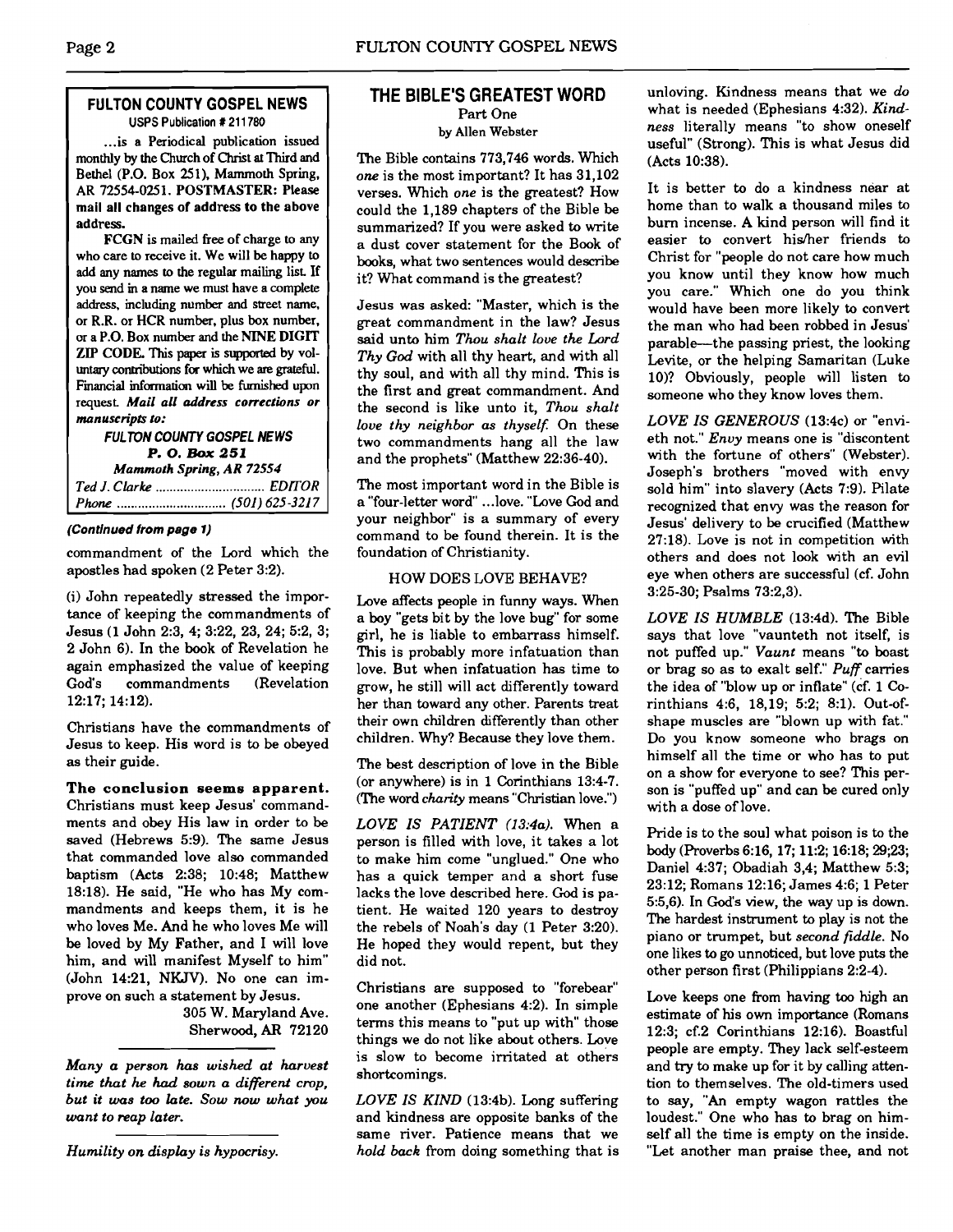#### **FULTON COUNTY GOSPEL NEWS USPS Publication** # **21 1780**

... is a Periodical publication issued monthly by the Church of Christ at Third and Bethel (P.O. Box 251). Mammoth Spring, **AR** 72554-025 1. **POSTMASTER: Please**  mail all changes of address to the above address.

**FCCN** is mailed **free** of charge to any who care to receive it. We will be happy to add any names to the regular mailing list If you send in a name we must have a complete address. including number and street name. or **R.R.** or **HCR** number, plus box number. or a P.O. Box number and the **NINE DIGIT**  ZIP **CODE. This paper is** supported by voluntary contributions for which we are grateful. Fimancial **information** will be **furnished** upon request *Mail all address corrections or manuscripts to:* 

#### **FUL TON COUNTY GOSPEL NEWS P. 0. Bax** *251 Mammoth Spring, AR 72554 Ted J. Clarke* ............................... **EDITOR**  *Phone* ............................... **(501) 625 -321 7**

#### **(Continued from page 1)**

commandment of the Lord which the apostles had spoken (2 Peter 3:2).

(i) John repeatedly stressed the importance of keeping the commandments of Jesus (1 John 2:3, 4; 3:22, 23, 24; 5:2, 3; 2 John 6). In the book of Revelation he again emphasized the value of keeping<br>God's commandments (Revelation commandments 12:17; 14:12).

Christians have the commandments of Jesus to keep. His word is to be obeyed as their guide.

**The conclusion seems apparent.**  Christians must keep Jesus' commandments and obey His law in order to be saved (Hebrews 5:9). The same Jesus that commanded love also commanded baptism (Acts 2:38; 10:48; Matthew 18:18). He said, "He who has My commandments and keeps them, it is he who loves Me. And he who loves Me will be loved by My Father, and I will love him, and will manifest Myself to him" (John 14:21, NKJV). No one can improve on such a statement by Jesus.

305 W. Maryland Ave. Sherwood, **AR** 72120

*Many a person has wished at harvest time thut he had sown a different crop, but it was too late. Sow now what you want* to *reap later.* 

*Humility on display is hypocrisy.* 

# ULTON COUNTY GOSPEL NEWS<br>
THE BIBLE'S GREATEST WORD

Part One by Allen Webster

The Bible contains 773,746 words. Which *one* is the most important? It has 31,102 verses. Which *one* is the greatest? How could the 1,189 chapters of the Bible be summarized? If you were asked to write a dust cover statement for the Book of books, what two sentences would describe it? What command is the greatest?

Jesus was asked: "Master, which is the great commandment in the law? Jesus said unto him *Thou shalt love the Lord Thy God* with all thy heart, and with all thy soul, and with all thy mind. This is the first and great commandment. And the second is like unto it, *Thou shalt love thy neighbor as thyself:* On these two commandments hang all the law and the prophets" (Matthew 22:36-40).

The most important word in the Bible is a "four-letter word" ... love. "Love God and your neighbor" is a summary of every command to be found therein. It is the foundation of Christianity.

#### HOW DOES LOVE BEHAVE?

Love affects people in funny ways. When a boy "gets bit by the love bug" for some girl, he is liable to embarrass himself. This is probably more infatuation than love. But when infatuation has time to grow, he still will act differently toward her than toward any other. Parents treat their own children differently than other children. Why? Because they love them.

The best description of love in the Bible (or anywhere) is in 1 Corinthians 13:4-7. (The word *charity* means "Christian love.")

*LOVE IS PATIENT (13:4a).* When a person is filled with love, it takes a lot to make him come "unglued." One who has a quick temper and a short fuse lacks the love described here. God is patient. He waited 120 years to destroy the rebels of Noah's day (1 Peter 3:20). He hoped they would repent, but they did not.

Christians are supposed to "forebear" one another (Ephesians 4:2). In simple terms this means to "put up with" those things we do not like about others. Love is slow to become irritated at others shortcomings.

*LOVE IS KIND* (13:4b). Long suffering and kindness are opposite banks of the same river. Patience means that we *hold* back from doing something that is unloving. Kindness means that we *do*  what is needed (Ephesians 4:32). *Kindness* literally means "to show oneself useful" (Strong). This is what Jesus did (Acts 10:38).

It is better to do a kindness near at home than to walk a thousand miles to burn incense. A kind person will find it easier to convert hisher friends to Christ for "people do not care how much you know until they know how much you care." Which one do you think would have been more likely to convert the man who had been robbed in Jesus' parable--the passing priest, the looking Levite, or the helping Samaritan (Luke 10)? Obviously, people will listen to someone who they know loves them.

*LOVE IS GENEROUS* (13:4c) or "envieth not." *Envy* means one is "discontent with the fortune of others" (Webster). Joseph's brothers "moved with envy sold him" into slavery (Acts 7:9). Pilate recognized that envy was the reason for Jesus' delivery to be crucified (Matthew 27:18). Love is not in competition with others and does not look with an evil eye when others are successful (cf. John 3:25-30; Psalms 73:2,3).

*LOVE IS HUMBLE* (13:4d). The Bible says that love "vaunteth not itself, is not puffed up." *Vaunt* means "to boast or brag so as to exalt self." *Puff* carries the idea of "blow up or inflate" (cf. 1 Corinthians 4:6, 18,19; 5:2; 8:l). Out-ofshape muscles are "blown up with fat." Do you know someone who brags on himself all the time or who has to put on a show for everyone to see? This person is "puffed up" and can be cured only with a dose of love.

Pride is to the soul what poison is to the body (Proverbs 6:16, 17; 11:2; 16:18; 29;23; Daniel 4:37; Obadiah 3,4; Matthew 5:3; 23:12; Romans 12:16; James 4:6; 1 Peter 5:5,6). In God's view, the way up is down. The hardest instrument to play is not the piano or trumpet, but *second fiddle.* No one likes to go unnoticed, but love puts the other person first (Philippians 2:2-4).

Love keeps one from having too high an estimate of his own importance (Romans 12:3; cf.2 Corinthians 12:16). Boastful people are empty. They lack self-esteem and **try** to make up for it by calling attention to themselves. The old-timers used to say, "An empty wagon rattles the loudest." One who has to brag on himself all the time is empty on the inside. "Let another man praise thee, and not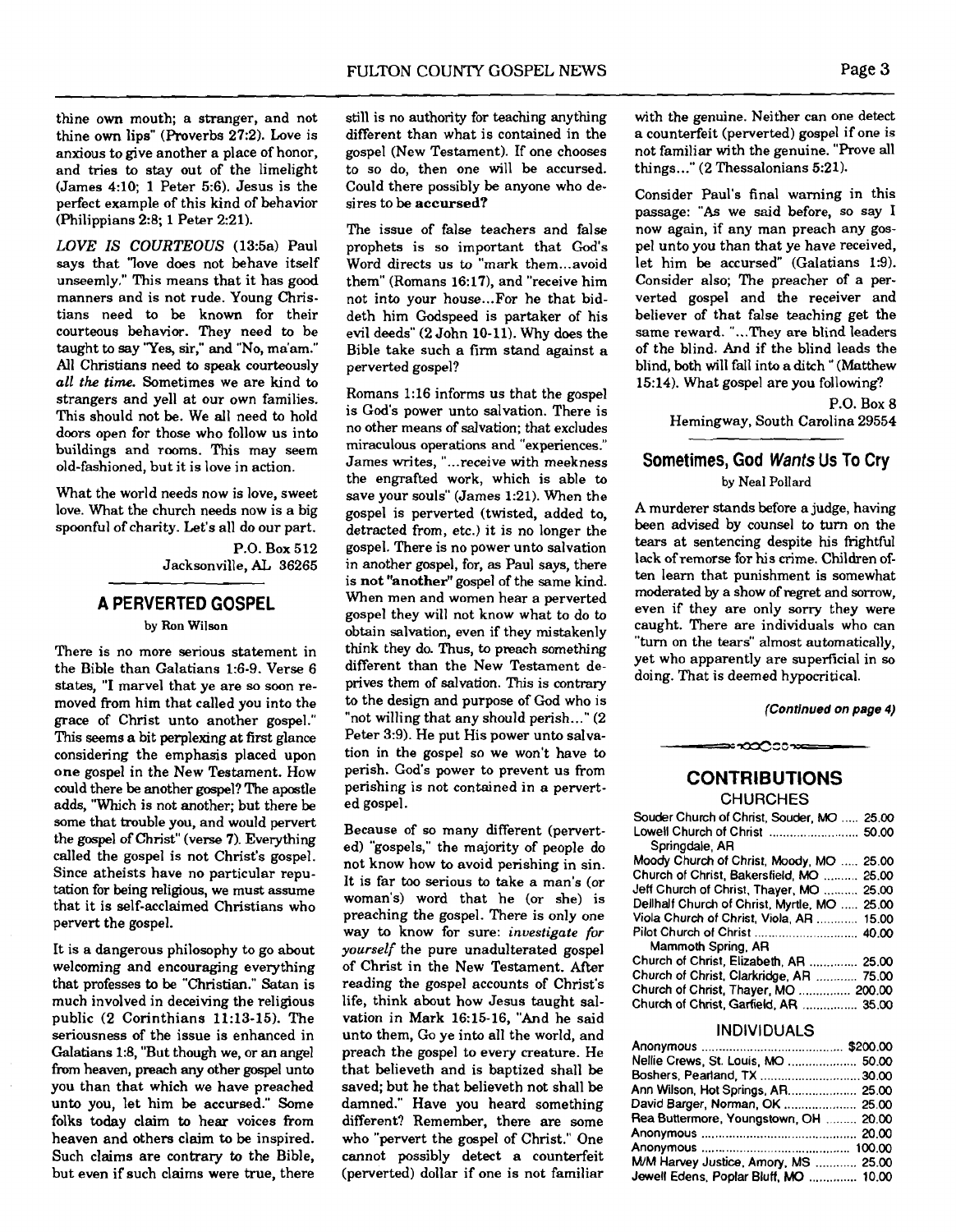thine own mouth; a stranger, and not thine own lips" (Proverbs 27:2). Love is anxious to give another a place of honor, and tries to stay out of the limelight (James 4:lO; 1 Peter 5:6). Jesus is the perfect example of this kind of behavior (Philippians 2:8; 1 Peter 2:21).

*LOVE IS COURTEOUS* (13:5a) Paul says that 'love does not behave itself unseemly." This means that it has good manners and is not rude. Young Christians need to be known for their courteous behavior. They need to be taught to say 'Yes, sir," and "No, ma'am." All Christians need to speak courteously all the **time.** Sometimes we are kind to strangers and yell at our own families. This should not be. We all need to hold doors open for those who follow us into buildings and rooms. This may seem old-fashioned, but it is love in action.

What the world needs now is love, sweet love. What the church needs now is a big spoonful of charity. Let's all do our part.

> P.O. Box 512 Jacksonville, **AL** 36265

#### **A PERVERTED GOSPEL**

#### **by Ron Wilson**

There is no more serious statement in the Bible than Galatians 1:6-9. Verse 6 states, "I marvel that ye are so soon removed from him that called you into the grace of Christ unto another gospel." This seems a bit perplexing at first glance considering the emphasis placed upon one gospel in the New Testament. How could there be another **gospel?** The apostle adds, "Which is not another; but there be some that trouble you, and would pervert the gospel of Christ" (verse 7). Everything called the gospel is not Christ's gospel. Since atheists have no particular reputation for being religious, we must assume that it is self-acclaimed Christians who pervert the gospel.

It is a dangerous philosophy to go about welcoming and encouraging everything that professes to be "Christian." Satan is much involved in deceiving the religious public (2 Corinthians 11:13-15). The seriousness of the issue is enhanced in Galatians 1:8, "But though we, or an angel from heaven, preach any other gospel unto you than that which we have preached unto you, let him be accursed." Some folks today claim to hear voices from heaven and others claim to be inspired. Such claims are contrary to the Bible, but even if such claims were true, there

still is no authority for teaching anything different than what is contained in the gospel (New Testament). If one chooses to so do, then one will be accursed. Could there possibly be anyone who desires to be **accursed?** 

The issue of false teachers and false prophets is so important that God's Word directs us to "mark them ... avoid them" (Romans 16:17), and "receive him not into your house ... For he that biddeth him Godspeed is partaker of his evil deeds" (2 John 10-11). Why does the Bible take such a firm stand against a perverted gospel?

Romans 1:16 informs us that the gospel is God's power unto salvation. There is no other means of salvation: that excludes miraculous operations and "experiences." James writes. "...receive with meekness the engrafted work, which is able to save your souls" (James 1:21). When the gospel is perverted (twisted, added to, detracted from, etc.) it is no longer the gospel. There is no power unto salvation in another gospel, for, as Paul says, there is **not "another"** gospel of the same kind. When men and women hear a perverted gospel they will not know what to do to obtain salvation, even if they mistakenly think they do. Thus, to preach something different than the New Testament deprives them of salvation. This is contrary to the design and purpose of God who is "not willing that any should perish..." (2) Peter 3:9). He put His power unto salvation in the gospel so we won't have to perish. God's power to prevent us from perishing is not contained in a perverted gospel.

Because of so many different (perverted) "gospels," the majority of people do not know how to avoid perishing in sin. It is far too serious to take a man's (or woman's) word that he (or she) is preaching the gospel. There is only one way to know for sure: **investigate** for yourself the pure unadulterated gospel of Christ in the New Testament. After reading the gospel accounts of Christ's life, think about how Jesus taught salvation in Mark 16:15-16, "And he said unto them, Go ye into all the world, and preach the gospel to every creature. He that believeth and is baptized shall be saved; but he that believeth not shall be damned." Have you heard something different? Remember, there are some who "pervert the gospel of Christ." One cannot possibly detect a counterfeit (perverted) dollar if one is not familiar

with the genuine. Neither can one detect a counterfeit (perverted) gospel if one is not familiar with the genuine. "Prove all things..." (2 Thessalonians 5:21).

Consider Paul's final warning in this passage: **"As** we said before, so say I now again, if any man preach any gospel unto you than that ye have received, let him be accursed" (Galatians 1:9). Consider also; The preacher of a perverted gospel and the receiver and believer of that false teaching get the same reward. **"...They** are blind leaders of the blind. And if the blind leads the blind, both will fall into a ditch " (Matthew 15:14). What gospel are you following?

> **P.O.** Box 8 Hemingway, South Carolina 29554

#### **Sometimes, God Wants Us To Cry**

by Neal Pollard

A murderer stands before a judge, having been advised by counsel to turn on the tears at sentencing despite his frightfiul lack of remorse for his crime. Children often learn that punishment is somewhat moderated by a show of regret and sorrow, even if they are only sorry they were caught. There are individuals who can "turn on the tears" almost automatically, yet who apparently are superficial in **so**  doing. That is deemed hypocritical.

**(Continued on page 4)** 

### **CONTRIBUTIONS**

≃•∞೦೦೧≫

**CHURCHES** 

| Souder Church of Christ, Souder, MO  25.00   |  |
|----------------------------------------------|--|
| Lowell Church of Christ  50.00               |  |
| Springdale, AR                               |  |
| Moody Church of Christ, Moody, MO  25.00     |  |
| Church of Christ, Bakersfield, MO  25.00     |  |
| Jeff Church of Christ, Thayer, MO  25.00     |  |
| Dellhalf Church of Christ, Myrtle, MO  25.00 |  |
| Viola Church of Christ, Viola, AR  15.00     |  |
|                                              |  |
| Mammoth Spring, AR                           |  |
| Church of Christ, Elizabeth, AR  25.00       |  |
| Church of Christ, Clarkridge, AR  75.00      |  |
| Church of Christ, Thayer, MO  200.00         |  |
| Church of Christ, Garfield, AR  35.00        |  |

#### **INDIVIDUALS**

| Nellie Crews, St. Louis, MO  50.00    |  |
|---------------------------------------|--|
| Boshers, Pearland, TX 30.00           |  |
| Ann Wilson, Hot Springs, AR 25.00     |  |
| David Barger, Norman, OK  25.00       |  |
| Rea Buttermore, Youngstown, OH  20.00 |  |
|                                       |  |
|                                       |  |
| M/M Harvey Justice, Amory, MS  25.00  |  |
| Jewell Edens, Poplar Bluff, MO  10.00 |  |